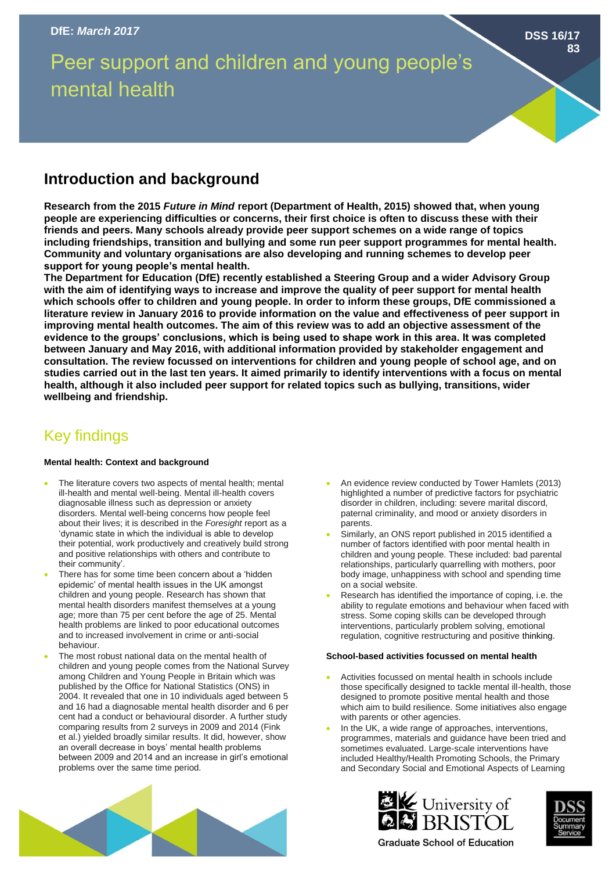# Peer support and children and young people's mental health

## **Introduction and background**

**Research from the 2015** *Future in Mind* **report (Department of Health, 2015) showed that, when young people are experiencing difficulties or concerns, their first choice is often to discuss these with their friends and peers. Many schools already provide peer support schemes on a wide range of topics including friendships, transition and bullying and some run peer support programmes for mental health. Community and voluntary organisations are also developing and running schemes to develop peer support for young people's mental health.**

**The Department for Education (DfE) recently established a Steering Group and a wider Advisory Group with the aim of identifying ways to increase and improve the quality of peer support for mental health which schools offer to children and young people. In order to inform these groups, DfE commissioned a literature review in January 2016 to provide information on the value and effectiveness of peer support in improving mental health outcomes. The aim of this review was to add an objective assessment of the evidence to the groups' conclusions, which is being used to shape work in this area. It was completed between January and May 2016, with additional information provided by stakeholder engagement and consultation. The review focussed on interventions for children and young people of school age, and on studies carried out in the last ten years. It aimed primarily to identify interventions with a focus on mental health, although it also included peer support for related topics such as bullying, transitions, wider wellbeing and friendship.**

# Key findings

### **Mental health: Context and background**

- The literature covers two aspects of mental health; mental ill-health and mental well-being. Mental ill-health covers diagnosable illness such as depression or anxiety disorders. Mental well-being concerns how people feel about their lives; it is described in the *Foresight* report as a 'dynamic state in which the individual is able to develop their potential, work productively and creatively build strong and positive relationships with others and contribute to their community'.
- There has for some time been concern about a 'hidden epidemic' of mental health issues in the UK amongst children and young people. Research has shown that mental health disorders manifest themselves at a young age; more than 75 per cent before the age of 25. Mental health problems are linked to poor educational outcomes and to increased involvement in crime or anti-social behaviour.
- The most robust national data on the mental health of children and young people comes from the National Survey among Children and Young People in Britain which was published by the Office for National Statistics (ONS) in 2004. It revealed that one in 10 individuals aged between 5 and 16 had a diagnosable mental health disorder and 6 per cent had a conduct or behavioural disorder. A further study comparing results from 2 surveys in 2009 and 2014 (Fink et al.) yielded broadly similar results. It did, however, show an overall decrease in boys' mental health problems between 2009 and 2014 and an increase in girl's emotional problems over the same time period.
- An evidence review conducted by Tower Hamlets (2013) highlighted a number of predictive factors for psychiatric disorder in children, including: severe marital discord, paternal criminality, and mood or anxiety disorders in parents.
- Similarly, an ONS report published in 2015 identified a number of factors identified with poor mental health in children and young people. These included: bad parental relationships, particularly quarrelling with mothers, poor body image, unhappiness with school and spending time on a social website.
- Research has identified the importance of coping, i.e. the ability to regulate emotions and behaviour when faced with stress. Some coping skills can be developed through interventions, particularly problem solving, emotional regulation, cognitive restructuring and positive thinking.

#### **School-based activities focussed on mental health**

- Activities focussed on mental health in schools include those specifically designed to tackle mental ill-health, those designed to promote positive mental health and those which aim to build resilience. Some initiatives also engage with parents or other agencies.
- In the UK, a wide range of approaches, interventions, programmes, materials and guidance have been tried and sometimes evaluated. Large-scale interventions have included Healthy/Health Promoting Schools, the Primary and Secondary Social and Emotional Aspects of Learning





**Graduate School of Education** 



**83**